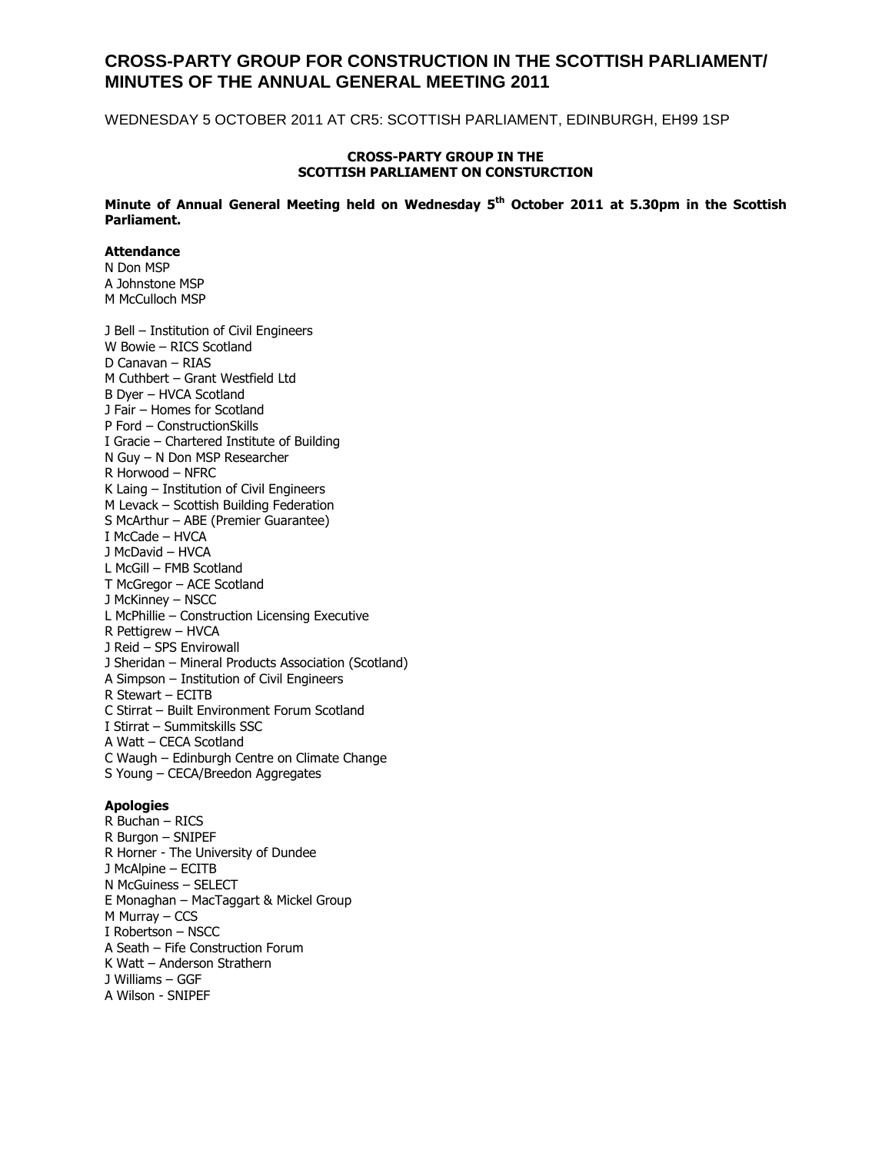## **CROSS-PARTY GROUP FOR CONSTRUCTION IN THE SCOTTISH PARLIAMENT/ MINUTES OF THE ANNUAL GENERAL MEETING 2011**

WEDNESDAY 5 OCTOBER 2011 AT CR5: SCOTTISH PARLIAMENT, EDINBURGH, EH99 1SP

#### **CROSS-PARTY GROUP IN THE SCOTTISH PARLIAMENT ON CONSTURCTION**

**Minute of Annual General Meeting held on Wednesday 5th October 2011 at 5.30pm in the Scottish Parliament.**

#### **Attendance**

N Don MSP A Johnstone MSP M McCulloch MSP

J Bell – Institution of Civil Engineers W Bowie – RICS Scotland D Canavan – RIAS M Cuthbert – Grant Westfield Ltd B Dyer – HVCA Scotland J Fair – Homes for Scotland P Ford – ConstructionSkills I Gracie – Chartered Institute of Building N Guy – N Don MSP Researcher R Horwood – NFRC K Laing – Institution of Civil Engineers M Levack – Scottish Building Federation S McArthur – ABE (Premier Guarantee) I McCade – HVCA J McDavid – HVCA L McGill – FMB Scotland T McGregor – ACE Scotland J McKinney – NSCC L McPhillie – Construction Licensing Executive R Pettigrew – HVCA J Reid – SPS Envirowall J Sheridan – Mineral Products Association (Scotland) A Simpson – Institution of Civil Engineers R Stewart – ECITB C Stirrat – Built Environment Forum Scotland I Stirrat – Summitskills SSC A Watt – CECA Scotland C Waugh – Edinburgh Centre on Climate Change S Young – CECA/Breedon Aggregates

#### **Apologies**

R Buchan – RICS R Burgon – SNIPEF R Horner - The University of Dundee J McAlpine – ECITB N McGuiness – SELECT E Monaghan – MacTaggart & Mickel Group M Murray – CCS I Robertson – NSCC A Seath – Fife Construction Forum K Watt – Anderson Strathern J Williams – GGF A Wilson - SNIPEF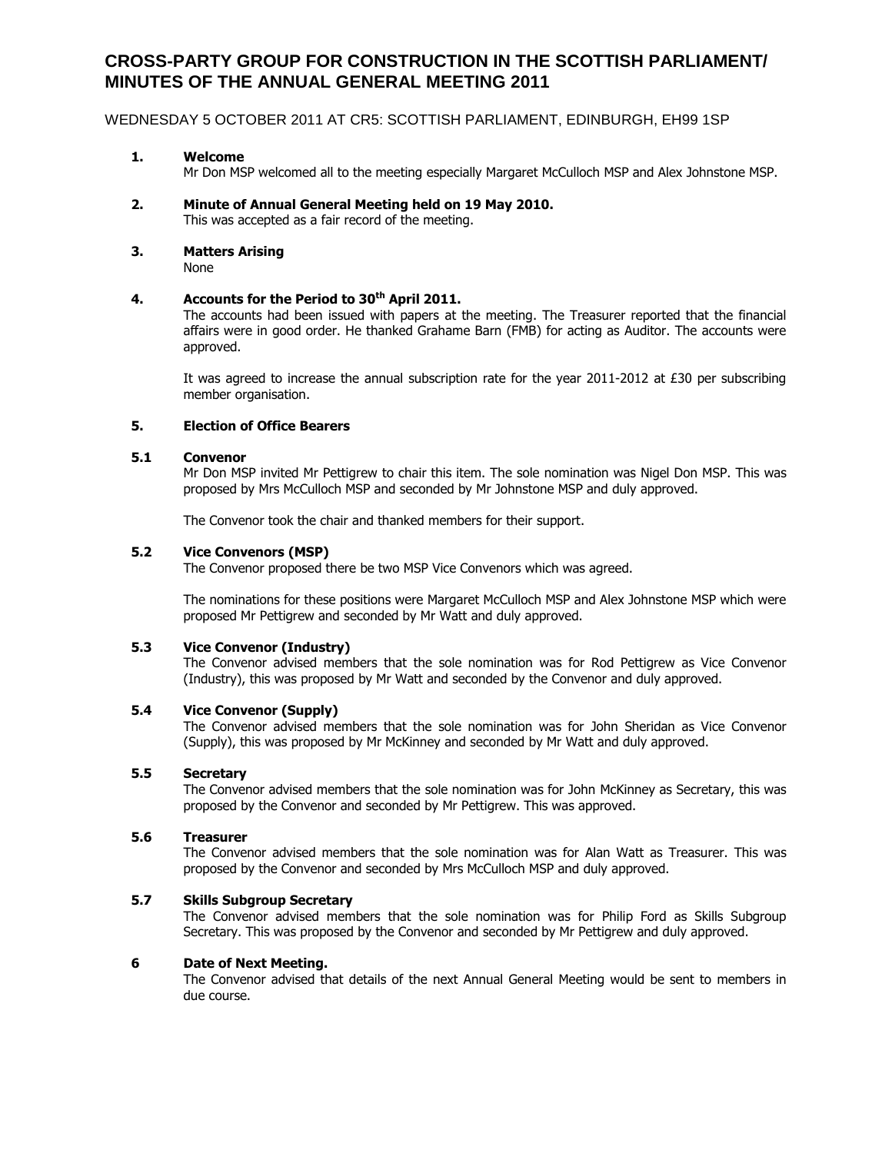# **CROSS-PARTY GROUP FOR CONSTRUCTION IN THE SCOTTISH PARLIAMENT/ MINUTES OF THE ANNUAL GENERAL MEETING 2011**

#### WEDNESDAY 5 OCTOBER 2011 AT CR5: SCOTTISH PARLIAMENT, EDINBURGH, EH99 1SP

#### **1. Welcome**

Mr Don MSP welcomed all to the meeting especially Margaret McCulloch MSP and Alex Johnstone MSP.

- **2. Minute of Annual General Meeting held on 19 May 2010.** This was accepted as a fair record of the meeting.
- **3. Matters Arising**

None

## **4. Accounts for the Period to 30th April 2011.**

The accounts had been issued with papers at the meeting. The Treasurer reported that the financial affairs were in good order. He thanked Grahame Barn (FMB) for acting as Auditor. The accounts were approved.

It was agreed to increase the annual subscription rate for the year 2011-2012 at £30 per subscribing member organisation.

### **5. Election of Office Bearers**

#### **5.1 Convenor**

Mr Don MSP invited Mr Pettigrew to chair this item. The sole nomination was Nigel Don MSP. This was proposed by Mrs McCulloch MSP and seconded by Mr Johnstone MSP and duly approved.

The Convenor took the chair and thanked members for their support.

#### **5.2 Vice Convenors (MSP)**

The Convenor proposed there be two MSP Vice Convenors which was agreed.

The nominations for these positions were Margaret McCulloch MSP and Alex Johnstone MSP which were proposed Mr Pettigrew and seconded by Mr Watt and duly approved.

#### **5.3 Vice Convenor (Industry)**

The Convenor advised members that the sole nomination was for Rod Pettigrew as Vice Convenor (Industry), this was proposed by Mr Watt and seconded by the Convenor and duly approved.

#### **5.4 Vice Convenor (Supply)**

The Convenor advised members that the sole nomination was for John Sheridan as Vice Convenor (Supply), this was proposed by Mr McKinney and seconded by Mr Watt and duly approved.

#### **5.5 Secretary**

The Convenor advised members that the sole nomination was for John McKinney as Secretary, this was proposed by the Convenor and seconded by Mr Pettigrew. This was approved.

#### **5.6 Treasurer**

The Convenor advised members that the sole nomination was for Alan Watt as Treasurer. This was proposed by the Convenor and seconded by Mrs McCulloch MSP and duly approved.

#### **5.7 Skills Subgroup Secretary**

The Convenor advised members that the sole nomination was for Philip Ford as Skills Subgroup Secretary. This was proposed by the Convenor and seconded by Mr Pettigrew and duly approved.

#### **6 Date of Next Meeting.**

The Convenor advised that details of the next Annual General Meeting would be sent to members in due course.